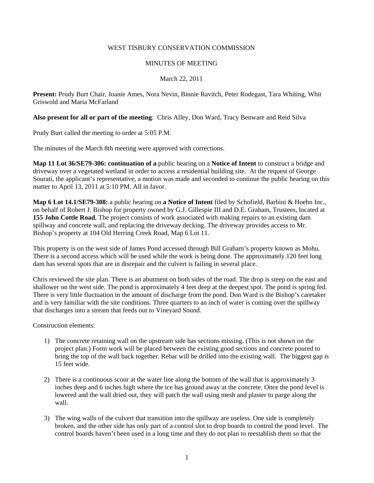## WEST TISBURY CONSERVATION COMMISSION

## MINUTES OF MEETING

# March 22, 2011

**Present:** Prudy Burt Chair, Joanie Ames, Nora Nevin, Binnie Ravitch, Peter Rodegast, Tara Whiting, Whit Griswold and Maria McFarland

## **Also present for all or part of the meeting**: Chris Alley, Don Ward, Tracy Benware and Reid Silva

Prudy Burt called the meeting to order at 5:05 P.M.

The minutes of the March 8th meeting were approved with corrections.

**Map 11 Lot 36/SE79-306: continuation of a** public hearing on a **Notice of Intent** to construct a bridge and driveway over a vegetated wetland in order to access a residential building site. At the request of George Sourati, the applicant's representative, a motion was made and seconded to continue the public hearing on this matter to April 13, 2011 at 5:10 PM. All in favor.

**Map 6 Lot 14.1/SE79-308:** a public hearing on **a Notice of Intent** filed by Schofield, Barbini & Hoehn Inc., on behalf of Robert J. Bishop for property owned by G.J. Gillespie III and D.E. Graham, Trustees, located at **155 John Cottle Road.** The project consists of work associated with making repairs to an existing dam spillway and concrete wall, and replacing the driveway decking. The driveway provides access to Mr. Bishop's property at 104 Old Herring Creek Road, Map 6 Lot 11.

This property is on the west side of James Pond accessed through Bill Graham's property known as Mohu. There is a second access which will be used while the work is being done. The approximately.120 feet long dam has several spots that are in disrepair and the culvert is failing in several place.

Chris reviewed the site plan. There is an abutment on both sides of the road. The drop is steep on the east and shallower on the west side. The pond is approximately 4 feet deep at the deepest spot. The pond is spring fed. There is very little fluctuation in the amount of discharge from the pond. Don Ward is the Bishop's caretaker and is very familiar with the site conditions. Three quarters to an inch of water is coming over the spillway that discharges into a stream that feeds out to Vineyard Sound.

Construction elements:

- 1) The concrete retaining wall on the upstream side has sections missing. (This is not shown on the project plan.) Form work will be placed between the existing good sections and concrete poured to bring the top of the wall back together. Rebar will be drilled into the existing wall. The biggest gap is 15 feet wide.
- 2) There is a continuous scour at the water line along the bottom of the wall that is approximately 3 inches deep and 6 inches high where the ice has ground away at the concrete. Once the pond level is lowered and the wall dried out, they will patch the wall using mesh and plaster to parge along the wall.
- 3) The wing walls of the culvert that transition into the spillway are useless. One side is completely broken, and the other side has only part of a control slot to drop boards to control the pond level. The control boards haven't been used in a long time and they do not plan to reestablish them so that the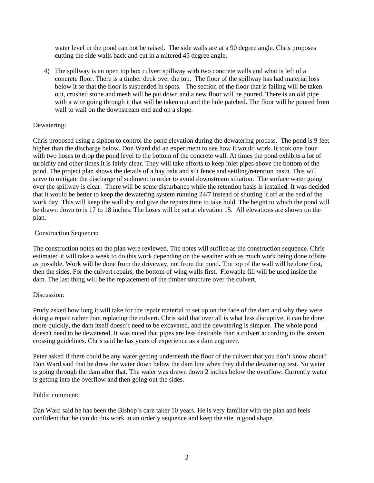water level in the pond can not be raised. The side walls are at a 90 degree angle. Chris proposes cutting the side walls back and cut in a mitered 45 degree angle.

4) The spillway is an open top box culvert spillway with two concrete walls and what is left of a concrete floor. There is a timber deck over the top. The floor of the spillway has had material loss below it so that the floor is suspended in spots. The section of the floor that is failing will be taken out, crushed stone and mesh will be put down and a new floor will be poured. There is an old pipe with a wire going through it that will be taken out and the hole patched. The floor will be poured from wall to wall on the downstream end and on a slope.

## Dewatering:

Chris proposed using a siphon to control the pond elevation during the dewatering process. The pond is 9 feet higher than the discharge below. Don Ward did an experiment to see how it would work. It took one hour with two hoses to drop the pond level to the bottom of the concrete wall. At times the pond exhibits a lot of turbidity and other times it is fairly clear. They will take efforts to keep inlet pipes above the bottom of the pond. The project plan shows the details of a hay bale and silt fence and settling/retention basin. This will serve to mitigate the discharge of sediment in order to avoid downstream siltation. The surface water going over the spillway is clear. There will be some disturbance while the retention basis is installed. It was decided that it would be better to keep the dewatering system running 24/7 instead of shutting it off at the end of the work day. This will keep the wall dry and give the repairs time to take hold. The height to which the pond will be drawn down to is 17 to 18 inches. The hoses will be set at elevation 15. All elevations are shown on the plan.

## Construction Sequence:

The construction notes on the plan were reviewed. The notes will suffice as the construction sequence. Chris estimated it will take a week to do this work depending on the weather with as much work being done offsite as possible. Work will be done from the driveway, not from the pond. The top of the wall will be done first, then the sides. For the culvert repairs, the bottom of wing walls first. Flowable fill will be used inside the dam. The last thing will be the replacement of the timber structure over the culvert.

#### Discussion:

Prudy asked how long it will take for the repair material to set up on the face of the dam and why they were doing a repair rather than replacing the culvert. Chris said that over all is what less disruptive, it can be done more quickly, the dam itself doesn't need to be excavated, and the dewatering is simpler. The whole pond doesn't need to be dewatered. It was noted that pipes are less desirable than a culvert according to the stream crossing guidelines. Chris said he has years of experience as a dam engineer.

Peter asked if there could be any water getting underneath the floor of the culvert that you don't know about? Don Ward said that he drew the water down below the dam line when they did the dewatering test. No water is going through the dam after that. The water was drawn down 2 inches below the overflow. Currently water is getting into the overflow and then going out the sides.

#### Public comment:

Dan Ward said he has been the Bishop's care taker 10 years. He is very familiar with the plan and feels confident that he can do this work in an orderly sequence and keep the site in good shape.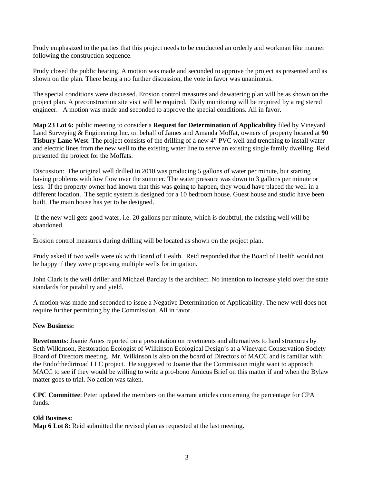Prudy emphasized to the parties that this project needs to be conducted an orderly and workman like manner following the construction sequence.

Prudy closed the public hearing. A motion was made and seconded to approve the project as presented and as shown on the plan. There being a no further discussion, the vote in favor was unanimous.

The special conditions were discussed. Erosion control measures and dewatering plan will be as shown on the project plan. A preconstruction site visit will be required. Daily monitoring will be required by a registered engineer. A motion was made and seconded to approve the special conditions. All in favor.

**Map 23 Lot 6:** public meeting to consider a **Request for Determination of Applicability** filed by Vineyard Land Surveying & Engineering Inc. on behalf of James and Amanda Moffat, owners of property located at **90 Tisbury Lane West**. The project consists of the drilling of a new 4" PVC well and trenching to install water and electric lines from the new well to the existing water line to serve an existing single family dwelling. Reid presented the project for the Moffats.

Discussion: The original well drilled in 2010 was producing 5 gallons of water per minute, but starting having problems with low flow over the summer. The water pressure was down to 3 gallons per minute or less. If the property owner had known that this was going to happen, they would have placed the well in a different location. The septic system is designed for a 10 bedroom house. Guest house and studio have been built. The main house has yet to be designed.

 If the new well gets good water, i.e. 20 gallons per minute, which is doubtful, the existing well will be abandoned.

Erosion control measures during drilling will be located as shown on the project plan.

Prudy asked if two wells were ok with Board of Health. Reid responded that the Board of Health would not be happy if they were proposing multiple wells for irrigation.

John Clark is the well driller and Michael Barclay is the architect. No intention to increase yield over the state standards for potability and yield.

A motion was made and seconded to issue a Negative Determination of Applicability. The new well does not require further permitting by the Commission. All in favor.

### **New Business:**

.

**Revetments**: Joanie Ames reported on a presentation on revetments and alternatives to hard structures by Seth Wilkinson, Restoration Ecologist of Wilkinson Ecological Design's at a Vineyard Conservation Society Board of Directors meeting. Mr. Wilkinson is also on the board of Directors of MACC and is familiar with the Endofthedirtroad LLC project. He suggested to Joanie that the Commission might want to approach MACC to see if they would be willing to write a pro-bono Amicus Brief on this matter if and when the Bylaw matter goes to trial. No action was taken.

**CPC Committee**: Peter updated the members on the warrant articles concerning the percentage for CPA funds.

# **Old Business:**

**Map 6 Lot 8:** Reid submitted the revised plan as requested at the last meeting**.**